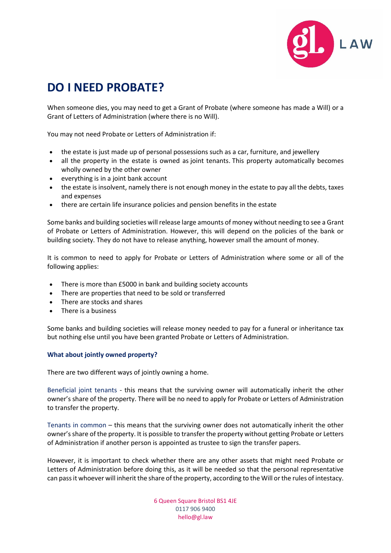

## **DO I NEED PROBATE?**

When someone dies, you may need to get a Grant of Probate (where someone has made a Will) or a Grant of Letters of Administration (where there is no Will).

You may not need Probate or Letters of Administration if:

- the estate is just made up of personal possessions such as a car, furniture, and jewellery
- all the property in the estate is owned as [joint tenants.](https://www.citizensadvice.org.uk/family/death-and-wills/dealing-with-the-financial-affairs-of-someone-who-has-died/#jointly-owned_property) This property automatically becomes wholly owned by the other owner
- everything is in a [joint bank account](https://www.citizensadvice.org.uk/family/death-and-wills/dealing-with-the-financial-affairs-of-someone-who-has-died/#joint_bank_accounts)
- the estate is insolvent, namely there is not enough money in the estate to pay all the debts, taxes and expenses
- there are certain life insurance policies and pension benefits in the estate

Some banks and building societies will release large amounts of money without needing to see a Grant of Probate or Letters of Administration. However, this will depend on the policies of the bank or building society. They do not have to release anything, however small the amount of money.

It is common to need to apply for Probate or Letters of Administration where some or all of the following applies:

- There is more than £5000 in bank and building society accounts
- There are properties that need to be sold or transferred
- There are stocks and shares
- There is a business

Some banks and building societies will release money needed to pay for a funeral or inheritance tax but nothing else until you have been granted Probate or Letters of Administration.

## **What about jointly owned property?**

There are two different ways of jointly owning a home.

Beneficial joint tenants - this means that the surviving owner will automatically inherit the other owner's share of the property. There will be no need to apply for Probate or Letters of Administration to transfer the property.

Tenants in common – this means that the surviving owner does not automatically inherit the other owner's share of the property. It is possible to transfer the property without getting Probate or Letters of Administration if another person is appointed as trustee to sign the transfer papers.

However, it is important to check whether there are any other assets that might need Probate or Letters of Administration before doing this, as it will be needed so that the personal representative can pass it whoever will inherit the share of the property, according to the Will or the rules of intestacy.

> 6 Queen Square Bristol BS1 4JE 0117 906 9400 hello@gl.law